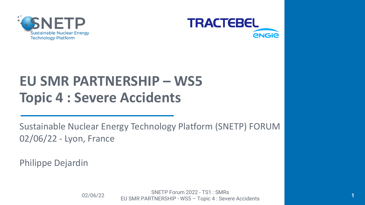



# **EU SMR PARTNERSHIP – WS5 Topic 4 : Severe Accidents**

Sustainable Nuclear Energy Technology Platform (SNETP) FORUM 02/06/22 - Lyon, France

Philippe Dejardin

SNETP Forum 2022 - TS1 : SMRs<br>02/06/22 EU SMR PARTNERSHIP - WS5 – Topic 4 : Severe Accidents **<sup>1</sup>**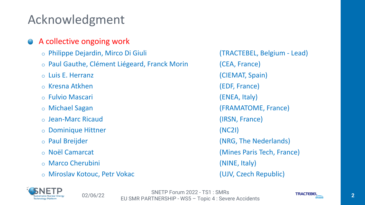### Acknowledgment

#### A collective ongoing work

- o Philippe Dejardin, Mirco Di Giuli (TRACTEBEL, Belgium Lead)
- o Paul Gauthe, Clément Liégeard, Franck Morin (CEA, France)
- 
- o Kresna Atkhen (EDF, France)
- o Fulvio Mascari (ENEA, Italy)
- 
- o Jean-Marc Ricaud (IRSN, France)
- o Dominique Hittner (NC2I)
- 
- 
- o Marco Cherubini (NINE, Italy)
- o Miroslav Kotouc, Petr Vokac (UJV, Czech Republic)

o Luis E. Herranz (CIEMAT, Spain) o Michael Sagan (FRAMATOME, France) o Paul Breijder (NRG, The Nederlands) o Noël Camarcat (Mines Paris Tech, France)

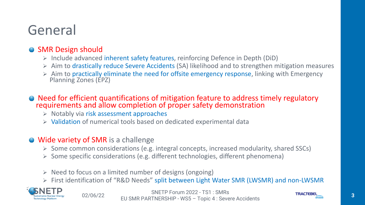## General

### • SMR Design should

- ➢ Include advanced inherent safety features, reinforcing Defence in Depth (DiD)
- ➢ Aim to drastically reduce Severe Accidents (SA) likelihood and to strengthen mitigation measures
- ➢ Aim to practically eliminate the need for offsite emergency response, linking with Emergency Planning Zones (EPZ)
- Need for efficient quantifications of mitigation feature to address timely regulatory requirements and allow completion of proper safety demonstration
	- ➢ Notably via risk assessment approaches
	- ➢ Validation of numerical tools based on dedicated experimental data

### **● Wide variety of SMR** is a challenge

- ➢ Some common considerations (e.g. integral concepts, increased modularity, shared SSCs)
- ➢ Some specific considerations (e.g. different technologies, different phenomena)
- $\triangleright$  Need to focus on a limited number of designs (ongoing)
- ➢ First identification of "R&D Needs" split between Light Water SMR (LWSMR) and non-LWSMR

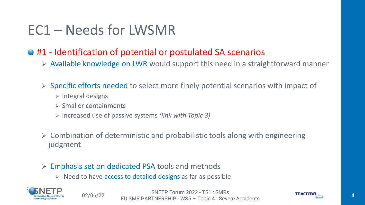## EC1 – Needs for LWSMR

### ● #1 - Identification of potential or postulated SA scenarios

- ➢ Available knowledge on LWR would support this need in a straightforward manner
- ➢ Specific efforts needed to select more finely potential scenarios with impact of
	- ➢ Integral designs
	- ➢ Smaller containments
	- ➢ Increased use of passive systems *(link with Topic 3)*
- ➢ Combination of deterministic and probabilistic tools along with engineering judgment
- ➢ Emphasis set on dedicated PSA tools and methods
	- $\triangleright$  Need to have access to detailed designs as far as possible



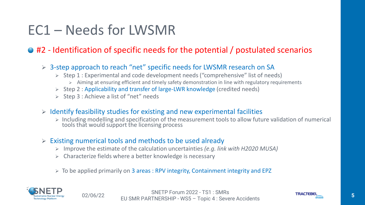## EC1 – Needs for LWSMR

### ● #2 - Identification of specific needs for the potential / postulated scenarios

- ➢ 3-step approach to reach "net" specific needs for LWSMR research on SA
	- ➢ Step 1 : Experimental and code development needs ("comprehensive" list of needs)
		- ➢ Aiming at ensuring efficient and timely safety demonstration in line with regulatory requirements
	- ➢ Step 2 : Applicability and transfer of large-LWR knowledge (credited needs)
	- ➢ Step 3 : Achieve a list of "net" needs
- $\triangleright$  Identify feasibility studies for existing and new experimental facilities
	- ➢ Including modelling and specification of the measurement tools to allow future validation of numerical tools that would support the licensing process
- $\triangleright$  Existing numerical tools and methods to be used already
	- ➢ Improve the estimate of the calculation uncertainties *(e.g. link with H2020 MUSA)*
	- $\triangleright$  Characterize fields where a better knowledge is necessary
	- ➢ To be applied primarily on 3 areas : RPV integrity, Containment integrity and EPZ

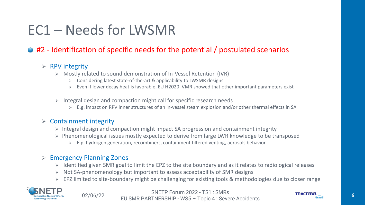## EC1 – Needs for LWSMR

### ● #2 - Identification of specific needs for the potential / postulated scenarios

#### $\triangleright$  RPV integrity

- ➢ Mostly related to sound demonstration of In-Vessel Retention (IVR)
	- ➢ Considering latest state-of-the-art & applicability to LWSMR designs
	- ➢ Even if lower decay heat is favorable, EU H2020 IVMR showed that other important parameters exist
- $\triangleright$  Integral design and compaction might call for specific research needs
	- ➢ E.g. impact on RPV inner structures of an in-vessel steam explosion and/or other thermal effects in SA

#### $\triangleright$  Containment integrity

- ➢ Integral design and compaction might impact SA progression and containment integrity
- ➢ Phenomenological issues mostly expected to derive from large LWR knowledge to be transposed
	- ➢ E.g. hydrogen generation, recombiners, containment filtered venting, aerosols behavior

#### ➢ Emergency Planning Zones

- ➢ Identified given SMR goal to limit the EPZ to the site boundary and as it relates to radiological releases
- ➢ Not SA-phenomenology but important to assess acceptability of SMR designs
- ➢ EPZ limited to site-boundary might be challenging for existing tools & methodologies due to closer range



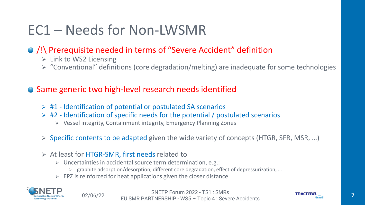## EC1 – Needs for Non-LWSMR

### /!\ Prerequisite needed in terms of "Severe Accident" definition

- $\triangleright$  Link to WS2 Licensing
- ➢ "Conventional" definitions (core degradation/melting) are inadequate for some technologies

### ● Same generic two high-level research needs identified

- $\triangleright$  #1 Identification of potential or postulated SA scenarios
- $\triangleright$  #2 Identification of specific needs for the potential / postulated scenarios
	- ➢ Vessel integrity, Containment integrity, Emergency Planning Zones
- ➢ Specific contents to be adapted given the wide variety of concepts (HTGR, SFR, MSR, …)
- ➢ At least for HTGR-SMR, first needs related to
	- ➢ Uncertainties in accidental source term determination, e.g.:
		- ➢ graphite adsorption/desorption, different core degradation, effect of depressurization, …
	- $\triangleright$  EPZ is reinforced for heat applications given the closer distance



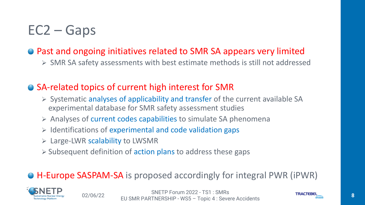## EC2 – Gaps

### ● Past and ongoing initiatives related to SMR SA appears very limited

➢ SMR SA safety assessments with best estimate methods is still not addressed

### ● SA-related topics of current high interest for SMR

- ➢ Systematic analyses of applicability and transfer of the current available SA experimental database for SMR safety assessment studies
- ➢ Analyses of current codes capabilities to simulate SA phenomena
- ➢ Identifications of experimental and code validation gaps
- ➢ Large-LWR scalability to LWSMR
- ➢ Subsequent definition of action plans to address these gaps

### H-Europe SASPAM-SA is proposed accordingly for integral PWR (iPWR)

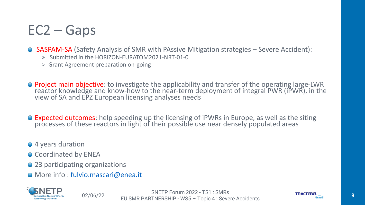## EC2 – Gaps

● SASPAM-SA (Safety Analysis of SMR with PAssive Mitigation strategies – Severe Accident):

- ➢ Submitted in the HORIZON-EURATOM2021-NRT-01-0
- ➢ Grant Agreement preparation on-going
- Project main objective: to investigate the applicability and transfer of the operating large-LWR reactor knowledge and know-how to the near-term deployment of integral PWR (iPWR), in the view of SA and EPZ European licensing analyses needs
- Expected outcomes: help speeding up the licensing of iPWRs in Europe, as well as the siting processes of these reactors in light of their possible use near densely populated areas
- 4 years duration
- Coordinated by ENEA
- 23 participating organizations
- More info : [fulvio.mascari@enea.it](mailto:fulvio.mascari@enea.it)



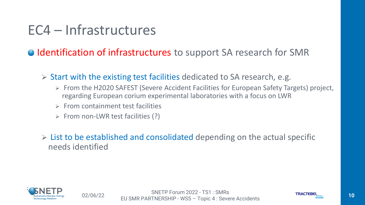## EC4 – Infrastructures

● Identification of infrastructures to support SA research for SMR

 $\triangleright$  Start with the existing test facilities dedicated to SA research, e.g.

- ➢ From the H2020 SAFEST (Severe Accident Facilities for European Safety Targets) project, regarding European corium experimental laboratories with a focus on LWR
- $\triangleright$  From containment test facilities
- $\triangleright$  From non-LWR test facilities (?)

 $\triangleright$  List to be established and consolidated depending on the actual specific needs identified